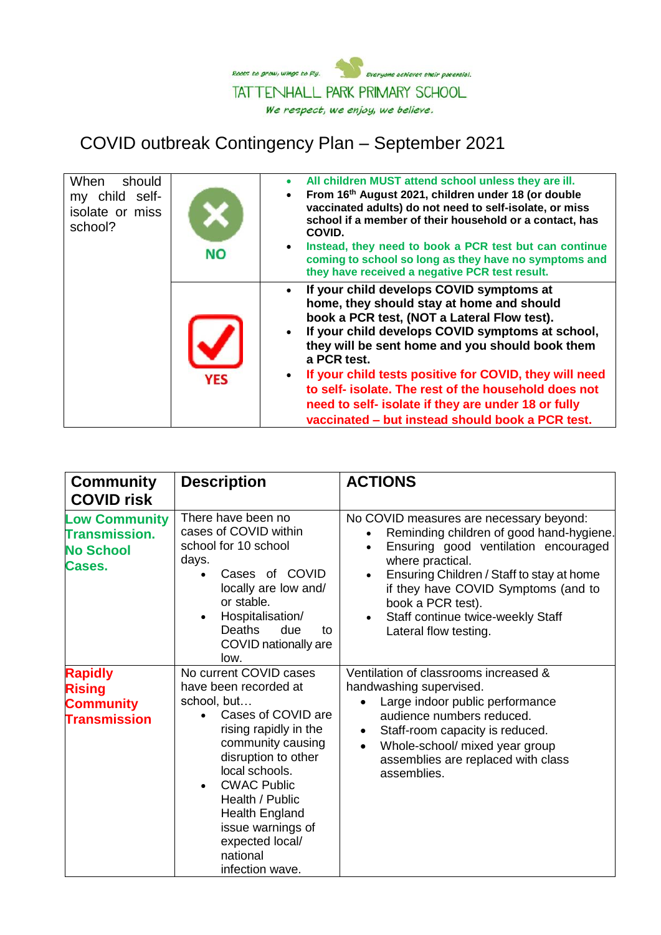

## COVID outbreak Contingency Plan – September 2021

| When<br>should<br>my child self-<br>isolate or miss<br>school? | <b>NO</b>  | All children MUST attend school unless they are ill.<br>$\bullet$<br>From 16th August 2021, children under 18 (or double<br>$\bullet$<br>vaccinated adults) do not need to self-isolate, or miss<br>school if a member of their household or a contact, has<br>COVID.<br>Instead, they need to book a PCR test but can continue<br>$\bullet$<br>coming to school so long as they have no symptoms and<br>they have received a negative PCR test result.                                                                        |
|----------------------------------------------------------------|------------|--------------------------------------------------------------------------------------------------------------------------------------------------------------------------------------------------------------------------------------------------------------------------------------------------------------------------------------------------------------------------------------------------------------------------------------------------------------------------------------------------------------------------------|
|                                                                | <b>YES</b> | If your child develops COVID symptoms at<br>$\bullet$<br>home, they should stay at home and should<br>book a PCR test, (NOT a Lateral Flow test).<br>If your child develops COVID symptoms at school,<br>$\bullet$<br>they will be sent home and you should book them<br>a PCR test.<br>If your child tests positive for COVID, they will need<br>$\bullet$<br>to self- isolate. The rest of the household does not<br>need to self- isolate if they are under 18 or fully<br>vaccinated - but instead should book a PCR test. |

| <b>Community</b><br><b>COVID risk</b>                                      | <b>Description</b>                                                                                                                                                                                                                                                                                                   | <b>ACTIONS</b>                                                                                                                                                                                                                                                                                                                                   |
|----------------------------------------------------------------------------|----------------------------------------------------------------------------------------------------------------------------------------------------------------------------------------------------------------------------------------------------------------------------------------------------------------------|--------------------------------------------------------------------------------------------------------------------------------------------------------------------------------------------------------------------------------------------------------------------------------------------------------------------------------------------------|
| <b>Low Community</b><br><b>Transmission.</b><br><b>No School</b><br>Cases. | There have been no<br>cases of COVID within<br>school for 10 school<br>days.<br>Cases of COVID<br>locally are low and/<br>or stable.<br>Hospitalisation/<br><b>Deaths</b><br>due<br>to<br>COVID nationally are<br>low.                                                                                               | No COVID measures are necessary beyond:<br>Reminding children of good hand-hygiene.<br>Ensuring good ventilation encouraged<br>$\bullet$<br>where practical.<br>Ensuring Children / Staff to stay at home<br>$\bullet$<br>if they have COVID Symptoms (and to<br>book a PCR test).<br>Staff continue twice-weekly Staff<br>Lateral flow testing. |
| <b>Rapidly</b><br><b>Rising</b><br><b>Community</b><br><b>Transmission</b> | No current COVID cases<br>have been recorded at<br>school, but<br>Cases of COVID are<br>rising rapidly in the<br>community causing<br>disruption to other<br>local schools.<br><b>CWAC Public</b><br>Health / Public<br><b>Health England</b><br>issue warnings of<br>expected local/<br>national<br>infection wave. | Ventilation of classrooms increased &<br>handwashing supervised.<br>Large indoor public performance<br>$\bullet$<br>audience numbers reduced.<br>Staff-room capacity is reduced.<br>$\bullet$<br>Whole-school/ mixed year group<br>$\bullet$<br>assemblies are replaced with class<br>assemblies.                                                |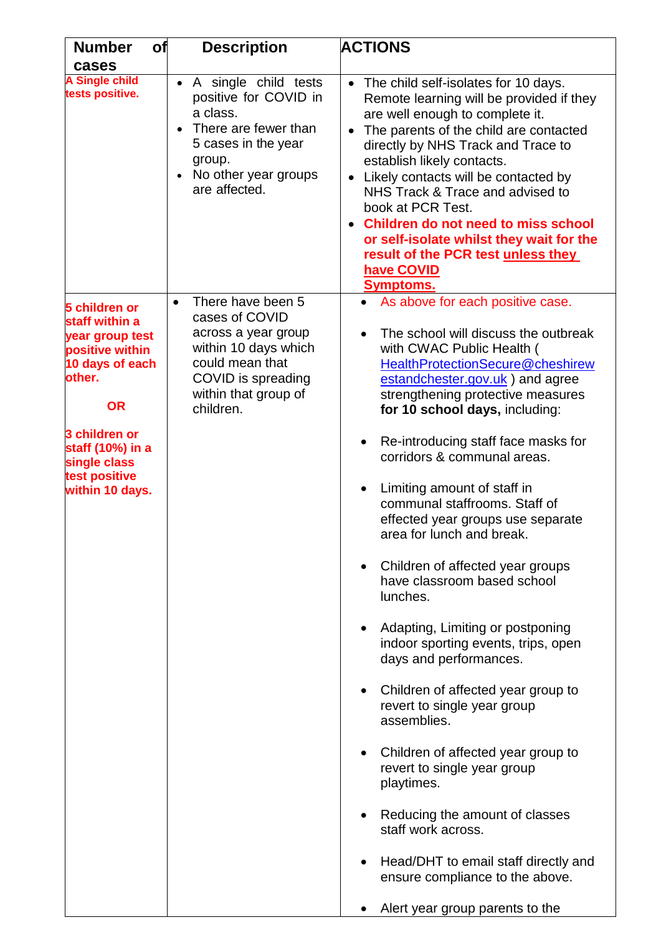| <b>Number</b><br>of                                                                                                                                                                                      | <b>Description</b>                                                                                                                                                            | <b>ACTIONS</b>                                                                                                                                                                                                                                                                                                                                                                                                                                                                                                                                                                                                                                                                                                                                                                                                                                                                                                                                                                                                                                                |
|----------------------------------------------------------------------------------------------------------------------------------------------------------------------------------------------------------|-------------------------------------------------------------------------------------------------------------------------------------------------------------------------------|---------------------------------------------------------------------------------------------------------------------------------------------------------------------------------------------------------------------------------------------------------------------------------------------------------------------------------------------------------------------------------------------------------------------------------------------------------------------------------------------------------------------------------------------------------------------------------------------------------------------------------------------------------------------------------------------------------------------------------------------------------------------------------------------------------------------------------------------------------------------------------------------------------------------------------------------------------------------------------------------------------------------------------------------------------------|
| cases                                                                                                                                                                                                    |                                                                                                                                                                               |                                                                                                                                                                                                                                                                                                                                                                                                                                                                                                                                                                                                                                                                                                                                                                                                                                                                                                                                                                                                                                                               |
| <b>A Single child</b><br>tests positive.                                                                                                                                                                 | A single child tests<br>positive for COVID in<br>a class.<br>There are fewer than<br>5 cases in the year<br>group.<br>No other year groups<br>are affected.                   | • The child self-isolates for 10 days.<br>Remote learning will be provided if they<br>are well enough to complete it.<br>The parents of the child are contacted<br>directly by NHS Track and Trace to<br>establish likely contacts.<br>Likely contacts will be contacted by<br>NHS Track & Trace and advised to<br>book at PCR Test.<br><b>Children do not need to miss school</b><br>or self-isolate whilst they wait for the<br>result of the PCR test unless they<br>have COVID<br><b>Symptoms.</b>                                                                                                                                                                                                                                                                                                                                                                                                                                                                                                                                                        |
| 5 children or<br>staff within a<br>year group test<br>positive within<br>10 days of each<br>other.<br><b>OR</b><br>3 children or<br>staff (10%) in a<br>single class<br>test positive<br>within 10 days. | There have been 5<br>$\bullet$<br>cases of COVID<br>across a year group<br>within 10 days which<br>could mean that<br>COVID is spreading<br>within that group of<br>children. | As above for each positive case.<br>The school will discuss the outbreak<br>$\bullet$<br>with CWAC Public Health (<br>HealthProtectionSecure@cheshirew<br>estandchester.gov.uk) and agree<br>strengthening protective measures<br>for 10 school days, including:<br>Re-introducing staff face masks for<br>$\bullet$<br>corridors & communal areas.<br>Limiting amount of staff in<br>$\bullet$<br>communal staffrooms. Staff of<br>effected year groups use separate<br>area for lunch and break.<br>Children of affected year groups<br>$\bullet$<br>have classroom based school<br>lunches.<br>Adapting, Limiting or postponing<br>indoor sporting events, trips, open<br>days and performances.<br>Children of affected year group to<br>revert to single year group<br>assemblies.<br>Children of affected year group to<br>$\bullet$<br>revert to single year group<br>playtimes.<br>Reducing the amount of classes<br>staff work across.<br>Head/DHT to email staff directly and<br>ensure compliance to the above.<br>Alert year group parents to the |